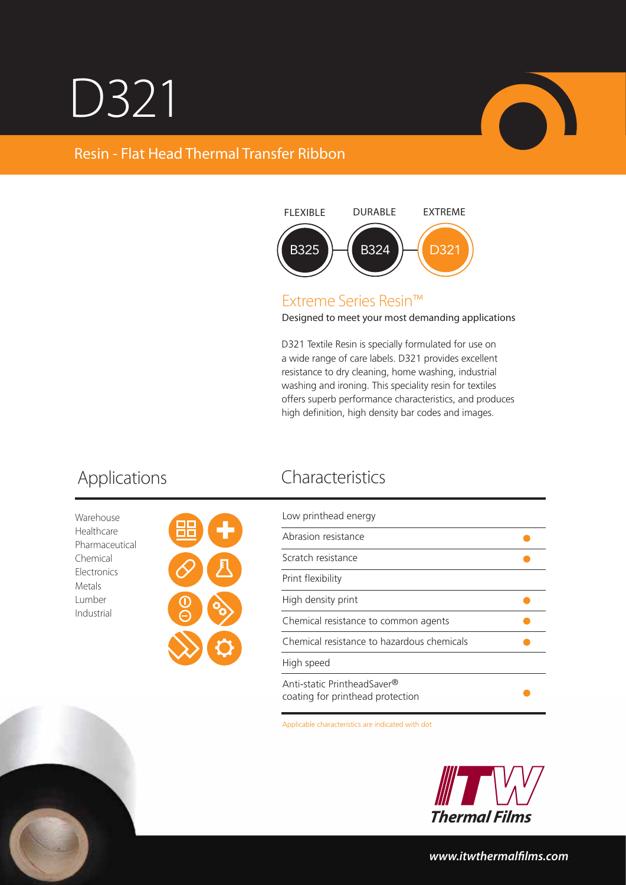# D321

## Resin - Flat Head Thermal Transfer Ribbon



### Extreme Series Resin™

Designed to meet your most demanding applications

D321 Textile Resin is specially formulated for use on a wide range of care labels. D321 provides excellent resistance to dry cleaning, home washing, industrial washing and ironing. This speciality resin for textiles offers superb performance characteristics, and produces high definition, high density bar codes and images.

Warehouse Healthcare Pharmaceutical Chemical **Electronics** Metals Lumber Industrial



## Applications Characteristics

| Low printhead energy                                            |  |
|-----------------------------------------------------------------|--|
| Abrasion resistance                                             |  |
| Scratch resistance                                              |  |
| Print flexibility                                               |  |
| High density print                                              |  |
| Chemical resistance to common agents                            |  |
| Chemical resistance to hazardous chemicals                      |  |
| High speed                                                      |  |
| Anti-static PrintheadSaver®<br>coating for printhead protection |  |

Applicable characteristics are indicated with dot



*www.itwthermallms.com*